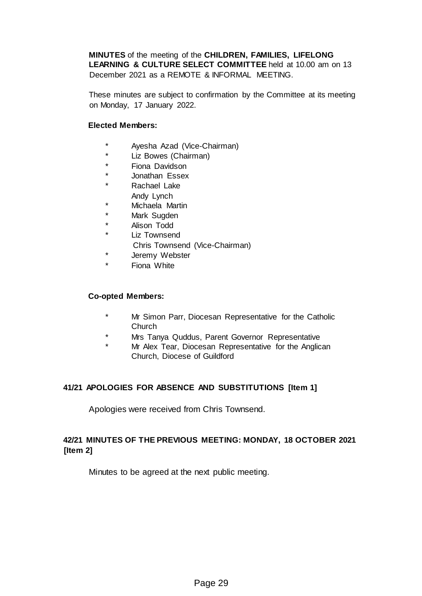**MINUTES** of the meeting of the **CHILDREN, FAMILIES, LIFELONG LEARNING & CULTURE SELECT COMMITTEE** held at 10.00 am on 13 December 2021 as a REMOTE & INFORMAL MEETING.

These minutes are subject to confirmation by the Committee at its meeting on Monday, 17 January 2022.

#### **Elected Members:**

- \* Ayesha Azad (Vice-Chairman)
- \* Liz Bowes (Chairman)
- \* Fiona Davidson
- Jonathan Essex
- \* Rachael Lake
- Andy Lynch
- \* Michaela Martin
- \* Mark Sugden
- \* Alison Todd
- Liz Townsend
	- Chris Townsend (Vice-Chairman)
- \* Jeremy Webster
- \* Fiona White

#### **Co-opted Members:**

- \* Mr Simon Parr, Diocesan Representative for the Catholic Church
- \* Mrs Tanya Quddus, Parent Governor Representative
- \* Mr Alex Tear, Diocesan Representative for the Anglican Church, Diocese of Guildford

#### **41/21 APOLOGIES FOR ABSENCE AND SUBSTITUTIONS [Item 1]**

Apologies were received from Chris Townsend.

## **42/21 MINUTES OF THE PREVIOUS MEETING: MONDAY, 18 OCTOBER 2021 [Item 2]**

Minutes to be agreed at the next public meeting.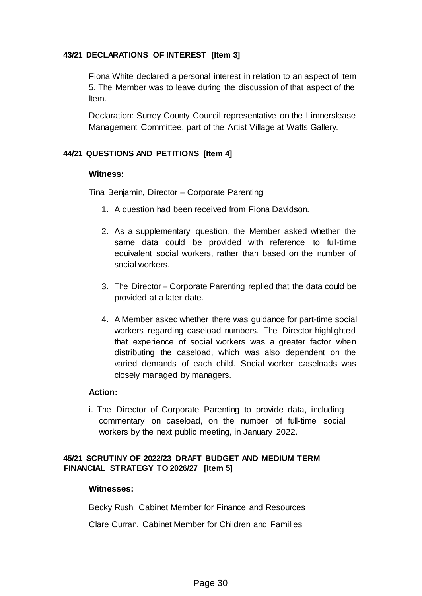## **43/21 DECLARATIONS OF INTEREST [Item 3]**

Fiona White declared a personal interest in relation to an aspect of Item 5. The Member was to leave during the discussion of that aspect of the Item.

Declaration: Surrey County Council representative on the Limnerslease Management Committee, part of the Artist Village at Watts Gallery.

## **44/21 QUESTIONS AND PETITIONS [Item 4]**

#### **Witness:**

Tina Benjamin, Director – Corporate Parenting

- 1. A question had been received from Fiona Davidson.
- 2. As a supplementary question, the Member asked whether the same data could be provided with reference to full-time equivalent social workers, rather than based on the number of social workers.
- 3. The Director Corporate Parenting replied that the data could be provided at a later date.
- 4. A Member asked whether there was guidance for part-time social workers regarding caseload numbers. The Director highlighted that experience of social workers was a greater factor when distributing the caseload, which was also dependent on the varied demands of each child. Social worker caseloads was closely managed by managers.

#### **Action:**

i. The Director of Corporate Parenting to provide data, including commentary on caseload, on the number of full-time social workers by the next public meeting, in January 2022.

#### **45/21 SCRUTINY OF 2022/23 DRAFT BUDGET AND MEDIUM TERM FINANCIAL STRATEGY TO 2026/27 [Item 5]**

#### **Witnesses:**

Becky Rush, Cabinet Member for Finance and Resources

Clare Curran, Cabinet Member for Children and Families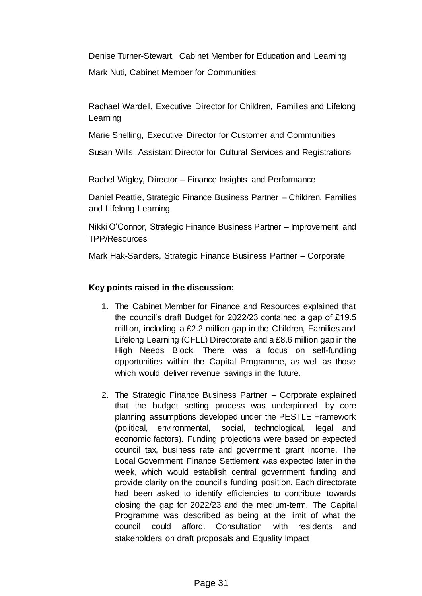Denise Turner-Stewart, Cabinet Member for Education and Learning Mark Nuti, Cabinet Member for Communities

Rachael Wardell, Executive Director for Children, Families and Lifelong **Learning** 

Marie Snelling, Executive Director for Customer and Communities

Susan Wills, Assistant Director for Cultural Services and Registrations

Rachel Wigley, Director – Finance Insights and Performance

Daniel Peattie, Strategic Finance Business Partner – Children, Families and Lifelong Learning

Nikki O'Connor, Strategic Finance Business Partner – Improvement and TPP/Resources

Mark Hak-Sanders, Strategic Finance Business Partner – Corporate

# **Key points raised in the discussion:**

- 1. The Cabinet Member for Finance and Resources explained that the council's draft Budget for 2022/23 contained a gap of £19.5 million, including a £2.2 million gap in the Children, Families and Lifelong Learning (CFLL) Directorate and a £8.6 million gap in the High Needs Block. There was a focus on self-funding opportunities within the Capital Programme, as well as those which would deliver revenue savings in the future.
- 2. The Strategic Finance Business Partner Corporate explained that the budget setting process was underpinned by core planning assumptions developed under the PESTLE Framework (political, environmental, social, technological, legal and economic factors). Funding projections were based on expected council tax, business rate and government grant income. The Local Government Finance Settlement was expected later in the week, which would establish central government funding and provide clarity on the council's funding position. Each directorate had been asked to identify efficiencies to contribute towards closing the gap for 2022/23 and the medium-term. The Capital Programme was described as being at the limit of what the council could afford. Consultation with residents and stakeholders on draft proposals and Equality Impact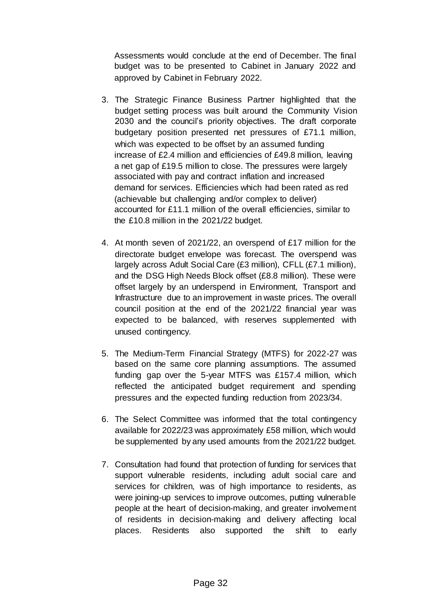Assessments would conclude at the end of December. The final budget was to be presented to Cabinet in January 2022 and approved by Cabinet in February 2022.

- 3. The Strategic Finance Business Partner highlighted that the budget setting process was built around the Community Vision 2030 and the council's priority objectives. The draft corporate budgetary position presented net pressures of £71.1 million, which was expected to be offset by an assumed funding increase of £2.4 million and efficiencies of £49.8 million, leaving a net gap of £19.5 million to close. The pressures were largely associated with pay and contract inflation and increased demand for services. Efficiencies which had been rated as red (achievable but challenging and/or complex to deliver) accounted for £11.1 million of the overall efficiencies, similar to the £10.8 million in the 2021/22 budget.
- 4. At month seven of 2021/22, an overspend of £17 million for the directorate budget envelope was forecast. The overspend was largely across Adult Social Care (£3 million), CFLL (£7.1 million), and the DSG High Needs Block offset (£8.8 million). These were offset largely by an underspend in Environment, Transport and Infrastructure due to an improvement in waste prices. The overall council position at the end of the 2021/22 financial year was expected to be balanced, with reserves supplemented with unused contingency.
- 5. The Medium-Term Financial Strategy (MTFS) for 2022-27 was based on the same core planning assumptions. The assumed funding gap over the 5-year MTFS was £157.4 million, which reflected the anticipated budget requirement and spending pressures and the expected funding reduction from 2023/34.
- 6. The Select Committee was informed that the total contingency available for 2022/23 was approximately £58 million, which would be supplemented by any used amounts from the 2021/22 budget.
- 7. Consultation had found that protection of funding for services that support vulnerable residents, including adult social care and services for children, was of high importance to residents, as were joining-up services to improve outcomes, putting vulnerable people at the heart of decision-making, and greater involvement of residents in decision-making and delivery affecting local places. Residents also supported the shift to early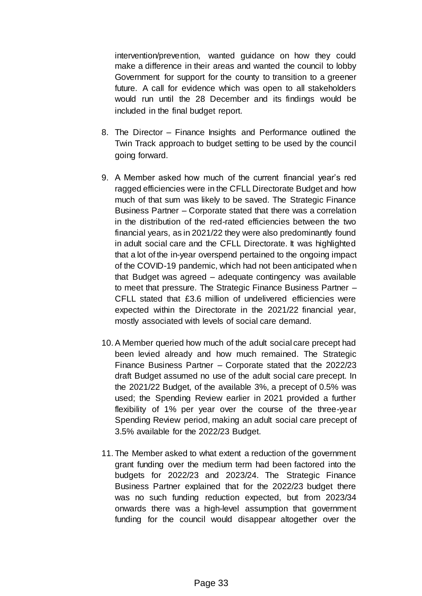intervention/prevention, wanted guidance on how they could make a difference in their areas and wanted the council to lobby Government for support for the county to transition to a greener future. A call for evidence which was open to all stakeholders would run until the 28 December and its findings would be included in the final budget report.

- 8. The Director Finance Insights and Performance outlined the Twin Track approach to budget setting to be used by the council going forward.
- 9. A Member asked how much of the current financial year's red ragged efficiencies were in the CFLL Directorate Budget and how much of that sum was likely to be saved. The Strategic Finance Business Partner – Corporate stated that there was a correlation in the distribution of the red-rated efficiencies between the two financial years, as in 2021/22 they were also predominantly found in adult social care and the CFLL Directorate. It was highlighted that a lot of the in-year overspend pertained to the ongoing impact of the COVID-19 pandemic, which had not been anticipated when that Budget was agreed – adequate contingency was available to meet that pressure. The Strategic Finance Business Partner – CFLL stated that £3.6 million of undelivered efficiencies were expected within the Directorate in the 2021/22 financial year, mostly associated with levels of social care demand.
- 10.A Member queried how much of the adult social care precept had been levied already and how much remained. The Strategic Finance Business Partner – Corporate stated that the 2022/23 draft Budget assumed no use of the adult social care precept. In the 2021/22 Budget, of the available 3%, a precept of 0.5% was used; the Spending Review earlier in 2021 provided a further flexibility of 1% per year over the course of the three-year Spending Review period, making an adult social care precept of 3.5% available for the 2022/23 Budget.
- 11. The Member asked to what extent a reduction of the government grant funding over the medium term had been factored into the budgets for 2022/23 and 2023/24. The Strategic Finance Business Partner explained that for the 2022/23 budget there was no such funding reduction expected, but from 2023/34 onwards there was a high-level assumption that government funding for the council would disappear altogether over the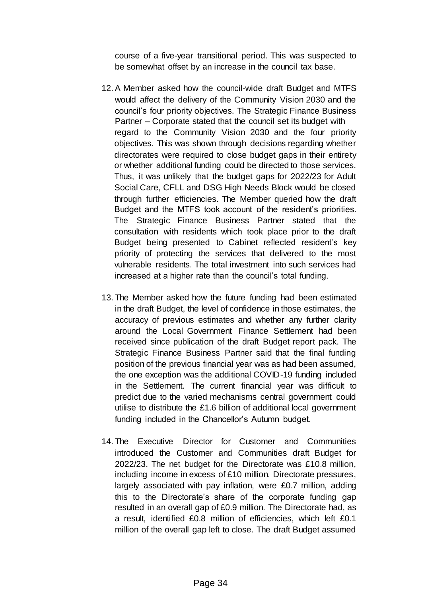course of a five-year transitional period. This was suspected to be somewhat offset by an increase in the council tax base.

- 12.A Member asked how the council-wide draft Budget and MTFS would affect the delivery of the Community Vision 2030 and the council's four priority objectives. The Strategic Finance Business Partner – Corporate stated that the council set its budget with regard to the Community Vision 2030 and the four priority objectives. This was shown through decisions regarding whether directorates were required to close budget gaps in their entirety or whether additional funding could be directed to those services. Thus, it was unlikely that the budget gaps for 2022/23 for Adult Social Care, CFLL and DSG High Needs Block would be closed through further efficiencies. The Member queried how the draft Budget and the MTFS took account of the resident's priorities. The Strategic Finance Business Partner stated that the consultation with residents which took place prior to the draft Budget being presented to Cabinet reflected resident's key priority of protecting the services that delivered to the most vulnerable residents. The total investment into such services had increased at a higher rate than the council's total funding.
- 13. The Member asked how the future funding had been estimated in the draft Budget, the level of confidence in those estimates, the accuracy of previous estimates and whether any further clarity around the Local Government Finance Settlement had been received since publication of the draft Budget report pack. The Strategic Finance Business Partner said that the final funding position of the previous financial year was as had been assumed, the one exception was the additional COVID-19 funding included in the Settlement. The current financial year was difficult to predict due to the varied mechanisms central government could utilise to distribute the £1.6 billion of additional local government funding included in the Chancellor's Autumn budget.
- 14. The Executive Director for Customer and Communities introduced the Customer and Communities draft Budget for 2022/23. The net budget for the Directorate was £10.8 million, including income in excess of £10 million. Directorate pressures, largely associated with pay inflation, were £0.7 million, adding this to the Directorate's share of the corporate funding gap resulted in an overall gap of £0.9 million. The Directorate had, as a result, identified £0.8 million of efficiencies, which left £0.1 million of the overall gap left to close. The draft Budget assumed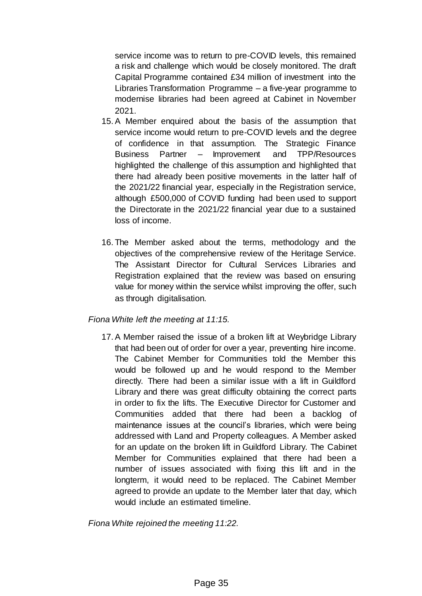service income was to return to pre-COVID levels, this remained a risk and challenge which would be closely monitored. The draft Capital Programme contained £34 million of investment into the Libraries Transformation Programme – a five-year programme to modernise libraries had been agreed at Cabinet in November 2021.

- 15.A Member enquired about the basis of the assumption that service income would return to pre-COVID levels and the degree of confidence in that assumption. The Strategic Finance Business Partner – Improvement and TPP/Resources highlighted the challenge of this assumption and highlighted that there had already been positive movements in the latter half of the 2021/22 financial year, especially in the Registration service, although £500,000 of COVID funding had been used to support the Directorate in the 2021/22 financial year due to a sustained loss of income.
- 16. The Member asked about the terms, methodology and the objectives of the comprehensive review of the Heritage Service. The Assistant Director for Cultural Services Libraries and Registration explained that the review was based on ensuring value for money within the service whilst improving the offer, such as through digitalisation.

# *Fiona White left the meeting at 11:15.*

17.A Member raised the issue of a broken lift at Weybridge Library that had been out of order for over a year, preventing hire income. The Cabinet Member for Communities told the Member this would be followed up and he would respond to the Member directly. There had been a similar issue with a lift in Guildford Library and there was great difficulty obtaining the correct parts in order to fix the lifts. The Executive Director for Customer and Communities added that there had been a backlog of maintenance issues at the council's libraries, which were being addressed with Land and Property colleagues. A Member asked for an update on the broken lift in Guildford Library. The Cabinet Member for Communities explained that there had been a number of issues associated with fixing this lift and in the longterm, it would need to be replaced. The Cabinet Member agreed to provide an update to the Member later that day, which would include an estimated timeline.

*Fiona White rejoined the meeting 11:22.*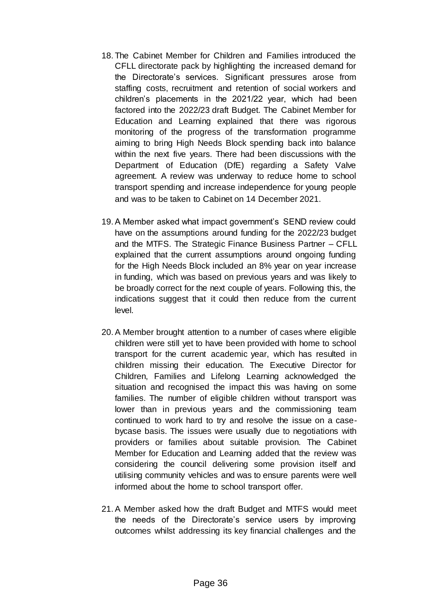- 18. The Cabinet Member for Children and Families introduced the CFLL directorate pack by highlighting the increased demand for the Directorate's services. Significant pressures arose from staffing costs, recruitment and retention of social workers and children's placements in the 2021/22 year, which had been factored into the 2022/23 draft Budget. The Cabinet Member for Education and Learning explained that there was rigorous monitoring of the progress of the transformation programme aiming to bring High Needs Block spending back into balance within the next five years. There had been discussions with the Department of Education (DfE) regarding a Safety Valve agreement. A review was underway to reduce home to school transport spending and increase independence for young people and was to be taken to Cabinet on 14 December 2021.
- 19.A Member asked what impact government's SEND review could have on the assumptions around funding for the 2022/23 budget and the MTFS. The Strategic Finance Business Partner – CFLL explained that the current assumptions around ongoing funding for the High Needs Block included an 8% year on year increase in funding, which was based on previous years and was likely to be broadly correct for the next couple of years. Following this, the indications suggest that it could then reduce from the current level.
- 20.A Member brought attention to a number of cases where eligible children were still yet to have been provided with home to school transport for the current academic year, which has resulted in children missing their education. The Executive Director for Children, Families and Lifelong Learning acknowledged the situation and recognised the impact this was having on some families. The number of eligible children without transport was lower than in previous years and the commissioning team continued to work hard to try and resolve the issue on a casebycase basis. The issues were usually due to negotiations with providers or families about suitable provision. The Cabinet Member for Education and Learning added that the review was considering the council delivering some provision itself and utilising community vehicles and was to ensure parents were well informed about the home to school transport offer.
- 21.A Member asked how the draft Budget and MTFS would meet the needs of the Directorate's service users by improving outcomes whilst addressing its key financial challenges and the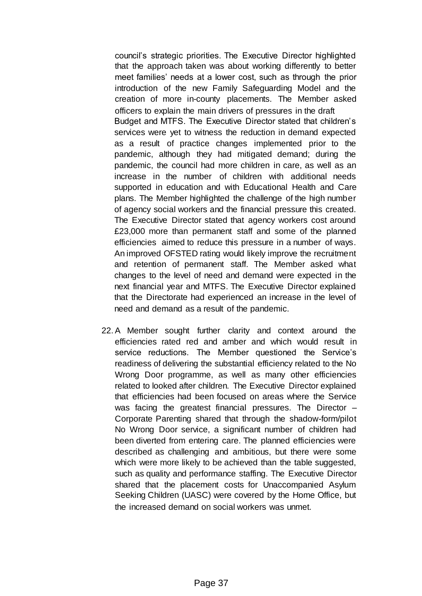council's strategic priorities. The Executive Director highlighted that the approach taken was about working differently to better meet families' needs at a lower cost, such as through the prior introduction of the new Family Safeguarding Model and the creation of more in-county placements. The Member asked officers to explain the main drivers of pressures in the draft Budget and MTFS. The Executive Director stated that children's

services were yet to witness the reduction in demand expected as a result of practice changes implemented prior to the pandemic, although they had mitigated demand; during the pandemic, the council had more children in care, as well as an increase in the number of children with additional needs supported in education and with Educational Health and Care plans. The Member highlighted the challenge of the high number of agency social workers and the financial pressure this created. The Executive Director stated that agency workers cost around £23,000 more than permanent staff and some of the planned efficiencies aimed to reduce this pressure in a number of ways. An improved OFSTED rating would likely improve the recruitment and retention of permanent staff. The Member asked what changes to the level of need and demand were expected in the next financial year and MTFS. The Executive Director explained that the Directorate had experienced an increase in the level of need and demand as a result of the pandemic.

22.A Member sought further clarity and context around the efficiencies rated red and amber and which would result in service reductions. The Member questioned the Service's readiness of delivering the substantial efficiency related to the No Wrong Door programme, as well as many other efficiencies related to looked after children. The Executive Director explained that efficiencies had been focused on areas where the Service was facing the greatest financial pressures. The Director – Corporate Parenting shared that through the shadow-form/pilot No Wrong Door service, a significant number of children had been diverted from entering care. The planned efficiencies were described as challenging and ambitious, but there were some which were more likely to be achieved than the table suggested, such as quality and performance staffing. The Executive Director shared that the placement costs for Unaccompanied Asylum Seeking Children (UASC) were covered by the Home Office, but the increased demand on social workers was unmet.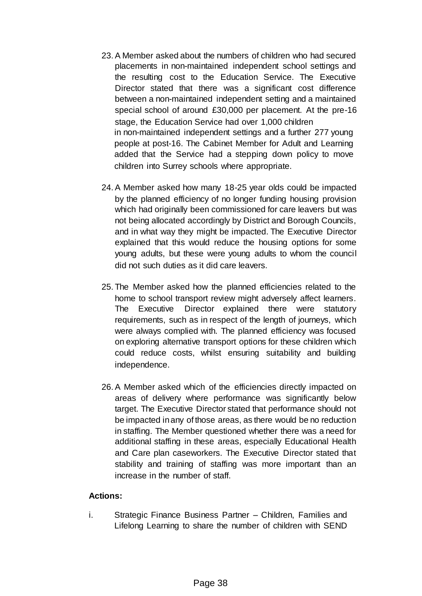- 23.A Member asked about the numbers of children who had secured placements in non-maintained independent school settings and the resulting cost to the Education Service. The Executive Director stated that there was a significant cost difference between a non-maintained independent setting and a maintained special school of around £30,000 per placement. At the pre-16 stage, the Education Service had over 1,000 children in non-maintained independent settings and a further 277 young people at post-16. The Cabinet Member for Adult and Learning added that the Service had a stepping down policy to move children into Surrey schools where appropriate.
- 24.A Member asked how many 18-25 year olds could be impacted by the planned efficiency of no longer funding housing provision which had originally been commissioned for care leavers but was not being allocated accordingly by District and Borough Councils, and in what way they might be impacted. The Executive Director explained that this would reduce the housing options for some young adults, but these were young adults to whom the council did not such duties as it did care leavers.
- 25. The Member asked how the planned efficiencies related to the home to school transport review might adversely affect learners. The Executive Director explained there were statutory requirements, such as in respect of the length of journeys, which were always complied with. The planned efficiency was focused on exploring alternative transport options for these children which could reduce costs, whilst ensuring suitability and building independence.
- 26.A Member asked which of the efficiencies directly impacted on areas of delivery where performance was significantly below target. The Executive Director stated that performance should not be impacted in any of those areas, as there would be no reduction in staffing. The Member questioned whether there was a need for additional staffing in these areas, especially Educational Health and Care plan caseworkers. The Executive Director stated that stability and training of staffing was more important than an increase in the number of staff.

#### **Actions:**

i. Strategic Finance Business Partner – Children, Families and Lifelong Learning to share the number of children with SEND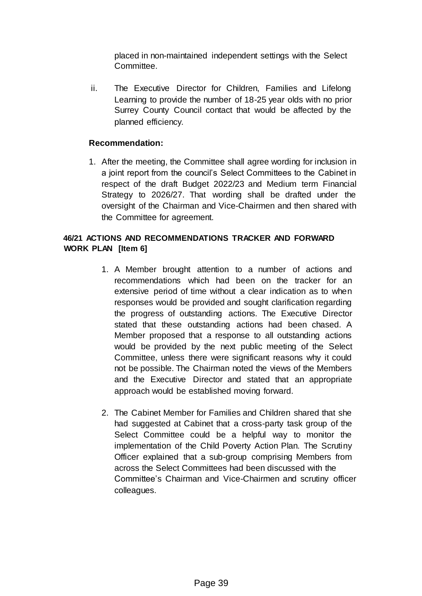placed in non-maintained independent settings with the Select Committee.

ii. The Executive Director for Children, Families and Lifelong Learning to provide the number of 18-25 year olds with no prior Surrey County Council contact that would be affected by the planned efficiency.

## **Recommendation:**

1. After the meeting, the Committee shall agree wording for inclusion in a joint report from the council's Select Committees to the Cabinet in respect of the draft Budget 2022/23 and Medium term Financial Strategy to 2026/27. That wording shall be drafted under the oversight of the Chairman and Vice-Chairmen and then shared with the Committee for agreement.

## **46/21 ACTIONS AND RECOMMENDATIONS TRACKER AND FORWARD WORK PLAN [Item 6]**

- 1. A Member brought attention to a number of actions and recommendations which had been on the tracker for an extensive period of time without a clear indication as to when responses would be provided and sought clarification regarding the progress of outstanding actions. The Executive Director stated that these outstanding actions had been chased. A Member proposed that a response to all outstanding actions would be provided by the next public meeting of the Select Committee, unless there were significant reasons why it could not be possible. The Chairman noted the views of the Members and the Executive Director and stated that an appropriate approach would be established moving forward.
- 2. The Cabinet Member for Families and Children shared that she had suggested at Cabinet that a cross-party task group of the Select Committee could be a helpful way to monitor the implementation of the Child Poverty Action Plan. The Scrutiny Officer explained that a sub-group comprising Members from across the Select Committees had been discussed with the Committee's Chairman and Vice-Chairmen and scrutiny officer colleagues.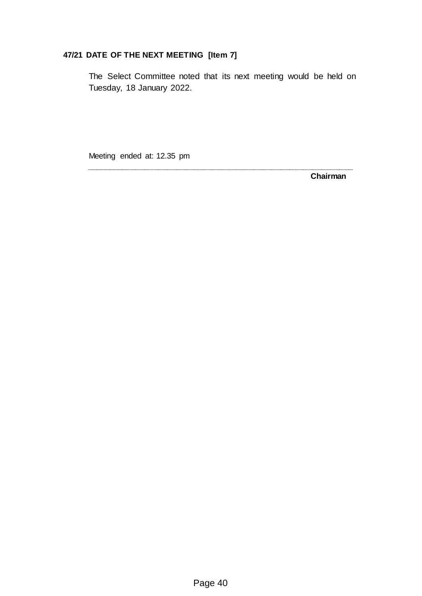# **47/21 DATE OF THE NEXT MEETING [Item 7]**

The Select Committee noted that its next meeting would be held on Tuesday, 18 January 2022.

**\_\_\_\_\_\_\_\_\_\_\_\_\_\_\_\_\_\_\_\_\_\_\_\_\_\_\_\_\_\_\_\_\_\_\_\_\_\_\_\_\_\_\_\_\_\_\_\_\_\_\_\_\_\_\_\_\_\_\_**

Meeting ended at: 12.35 pm

**Chairman**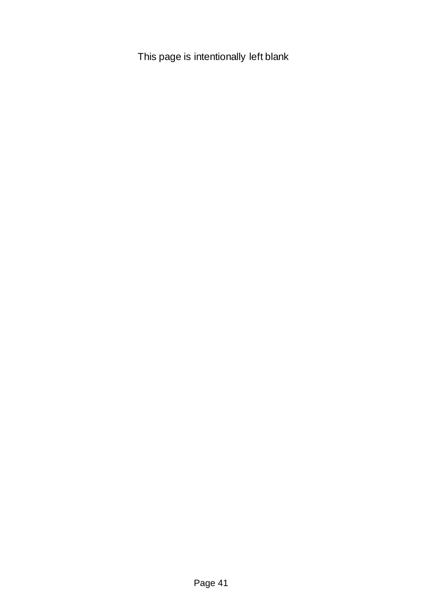This page is intentionally left blank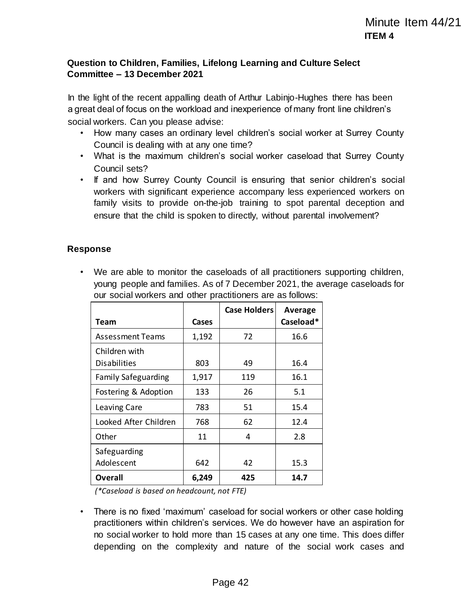# **Question to Children, Families, Lifelong Learning and Culture Select Committee – 13 December 2021**

In the light of the recent appalling death of Arthur Labinjo-Hughes there has been a great deal of focus on the workload and inexperience of many front line children's social workers. Can you please advise:

- How many cases an ordinary level children's social worker at Surrey County Council is dealing with at any one time?
- What is the maximum children's social worker caseload that Surrey County Council sets?
- If and how Surrey County Council is ensuring that senior children's social workers with significant experience accompany less experienced workers on family visits to provide on-the-job training to spot parental deception and ensure that the child is spoken to directly, without parental involvement?

# **Response**

• We are able to monitor the caseloads of all practitioners supporting children, young people and families. As of 7 December 2021, the average caseloads for our social workers and other practitioners are as follows:

|                            |       | <b>Case Holders</b> | Average   |
|----------------------------|-------|---------------------|-----------|
| Team                       | Cases |                     | Caseload* |
| Assessment Teams           | 1,192 | 72                  | 16.6      |
| Children with              |       |                     |           |
| <b>Disabilities</b>        | 803   | 49                  | 16.4      |
| <b>Family Safeguarding</b> | 1,917 | 119                 | 16.1      |
| Fostering & Adoption       | 133   | 26                  | 5.1       |
| Leaving Care               | 783   | 51                  | 15.4      |
| Looked After Children      | 768   | 62                  | 12.4      |
| Other                      | 11    | 4                   | 2.8       |
| Safeguarding               |       |                     |           |
| Adolescent                 | 642   | 42                  | 15.3      |
| <b>Overall</b>             | 6,249 | 425                 | 14.7      |

*(\*Caseload is based on headcount, not FTE)* 

• There is no fixed 'maximum' caseload for social workers or other case holding practitioners within children's services. We do however have an aspiration for no social worker to hold more than 15 cases at any one time. This does differ depending on the complexity and nature of the social work cases and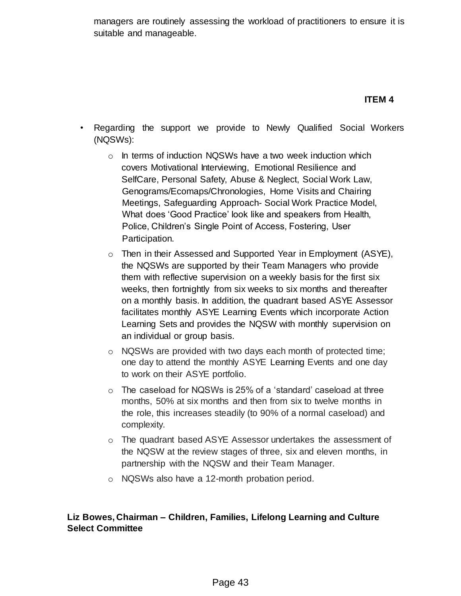managers are routinely assessing the workload of practitioners to ensure it is suitable and manageable.

## **ITEM 4**

- Regarding the support we provide to Newly Qualified Social Workers (NQSWs):
	- $\circ$  In terms of induction NQSWs have a two week induction which covers Motivational Interviewing, Emotional Resilience and SelfCare, Personal Safety, Abuse & Neglect, Social Work Law, Genograms/Ecomaps/Chronologies, Home Visits and Chairing Meetings, Safeguarding Approach- Social Work Practice Model, What does 'Good Practice' look like and speakers from Health, Police, Children's Single Point of Access, Fostering, User Participation.
	- o Then in their Assessed and Supported Year in Employment (ASYE), the NQSWs are supported by their Team Managers who provide them with reflective supervision on a weekly basis for the first six weeks, then fortnightly from six weeks to six months and thereafter on a monthly basis. In addition, the quadrant based ASYE Assessor facilitates monthly ASYE Learning Events which incorporate Action Learning Sets and provides the NQSW with monthly supervision on an individual or group basis.
	- o NQSWs are provided with two days each month of protected time; one day to attend the monthly ASYE Learning Events and one day to work on their ASYE portfolio.
	- o The caseload for NQSWs is 25% of a 'standard' caseload at three months, 50% at six months and then from six to twelve months in the role, this increases steadily (to 90% of a normal caseload) and complexity.
	- o The quadrant based ASYE Assessor undertakes the assessment of the NQSW at the review stages of three, six and eleven months, in partnership with the NQSW and their Team Manager.
	- o NQSWs also have a 12-month probation period.

# **Liz Bowes, Chairman – Children, Families, Lifelong Learning and Culture Select Committee**